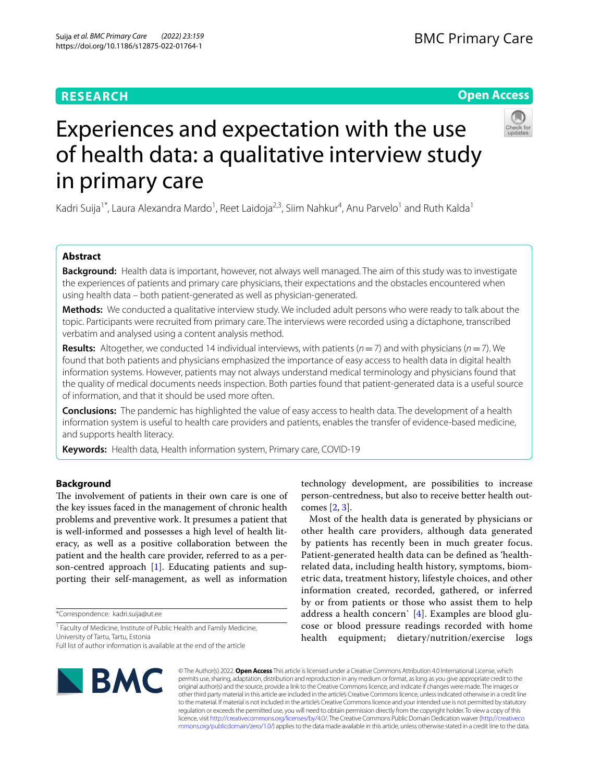# **RESEARCH**

# **Open Access**



# Experiences and expectation with the use of health data: a qualitative interview study in primary care

Kadri Suija<sup>1\*</sup>, Laura Alexandra Mardo<sup>1</sup>, Reet Laidoja<sup>2,3</sup>, Siim Nahkur<sup>4</sup>, Anu Parvelo<sup>1</sup> and Ruth Kalda<sup>1</sup>

# **Abstract**

**Background:** Health data is important, however, not always well managed. The aim of this study was to investigate the experiences of patients and primary care physicians, their expectations and the obstacles encountered when using health data – both patient-generated as well as physician-generated.

**Methods:** We conducted a qualitative interview study. We included adult persons who were ready to talk about the topic. Participants were recruited from primary care. The interviews were recorded using a dictaphone, transcribed verbatim and analysed using a content analysis method.

**Results:** Altogether, we conducted 14 individual interviews, with patients  $(n=7)$  and with physicians  $(n=7)$ . We found that both patients and physicians emphasized the importance of easy access to health data in digital health information systems. However, patients may not always understand medical terminology and physicians found that the quality of medical documents needs inspection. Both parties found that patient-generated data is a useful source of information, and that it should be used more often.

**Conclusions:** The pandemic has highlighted the value of easy access to health data. The development of a health information system is useful to health care providers and patients, enables the transfer of evidence-based medicine, and supports health literacy.

**Keywords:** Health data, Health information system, Primary care, COVID-19

# **Background**

The involvement of patients in their own care is one of the key issues faced in the management of chronic health problems and preventive work. It presumes a patient that is well-informed and possesses a high level of health literacy, as well as a positive collaboration between the patient and the health care provider, referred to as a person-centred approach [[1\]](#page-6-0). Educating patients and supporting their self-management, as well as information

\*Correspondence: kadri.suija@ut.ee

<sup>1</sup> Faculty of Medicine, Institute of Public Health and Family Medicine, University of Tartu, Tartu, Estonia

Full list of author information is available at the end of the article

technology development, are possibilities to increase person-centredness, but also to receive better health outcomes [\[2](#page-6-1), [3\]](#page-6-2).

Most of the health data is generated by physicians or other health care providers, although data generated by patients has recently been in much greater focus. Patient-generated health data can be defned as 'healthrelated data, including health history, symptoms, biometric data, treatment history, lifestyle choices, and other information created, recorded, gathered, or inferred by or from patients or those who assist them to help address a health concern` [\[4](#page-6-3)]. Examples are blood glucose or blood pressure readings recorded with home health equipment; dietary/nutrition/exercise logs



© The Author(s) 2022. **Open Access** This article is licensed under a Creative Commons Attribution 4.0 International License, which permits use, sharing, adaptation, distribution and reproduction in any medium or format, as long as you give appropriate credit to the original author(s) and the source, provide a link to the Creative Commons licence, and indicate if changes were made. The images or other third party material in this article are included in the article's Creative Commons licence, unless indicated otherwise in a credit line to the material. If material is not included in the article's Creative Commons licence and your intended use is not permitted by statutory regulation or exceeds the permitted use, you will need to obtain permission directly from the copyright holder. To view a copy of this licence, visit [http://creativecommons.org/licenses/by/4.0/.](http://creativecommons.org/licenses/by/4.0/) The Creative Commons Public Domain Dedication waiver ([http://creativeco](http://creativecommons.org/publicdomain/zero/1.0/) [mmons.org/publicdomain/zero/1.0/](http://creativecommons.org/publicdomain/zero/1.0/)) applies to the data made available in this article, unless otherwise stated in a credit line to the data.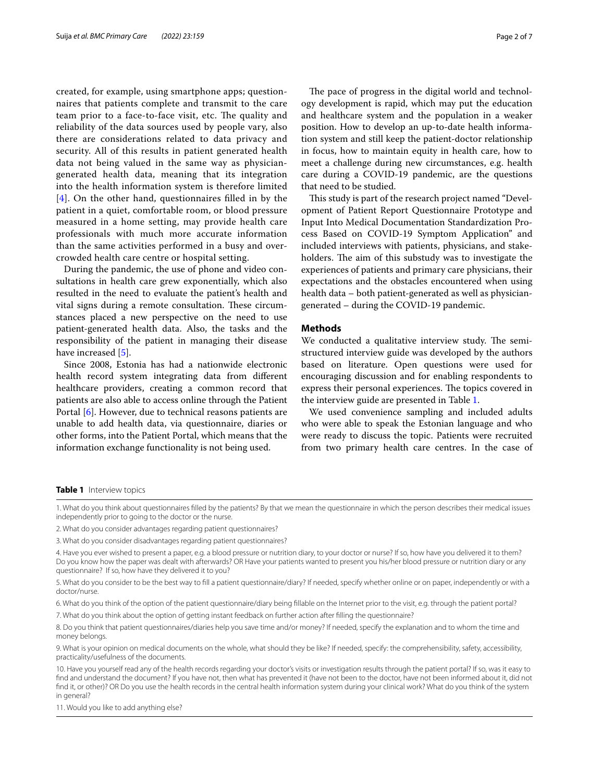created, for example, using smartphone apps; questionnaires that patients complete and transmit to the care team prior to a face-to-face visit, etc. The quality and reliability of the data sources used by people vary, also there are considerations related to data privacy and security. All of this results in patient generated health data not being valued in the same way as physiciangenerated health data, meaning that its integration into the health information system is therefore limited [[4](#page-6-3)]. On the other hand, questionnaires flled in by the patient in a quiet, comfortable room, or blood pressure measured in a home setting, may provide health care professionals with much more accurate information than the same activities performed in a busy and overcrowded health care centre or hospital setting.

During the pandemic, the use of phone and video consultations in health care grew exponentially, which also resulted in the need to evaluate the patient's health and vital signs during a remote consultation. These circumstances placed a new perspective on the need to use patient-generated health data. Also, the tasks and the responsibility of the patient in managing their disease have increased [\[5](#page-6-4)].

Since 2008, Estonia has had a nationwide electronic health record system integrating data from diferent healthcare providers, creating a common record that patients are also able to access online through the Patient Portal [\[6](#page-6-5)]. However, due to technical reasons patients are unable to add health data, via questionnaire, diaries or other forms, into the Patient Portal, which means that the information exchange functionality is not being used.

The pace of progress in the digital world and technology development is rapid, which may put the education and healthcare system and the population in a weaker position. How to develop an up-to-date health information system and still keep the patient-doctor relationship in focus, how to maintain equity in health care, how to meet a challenge during new circumstances, e.g. health care during a COVID-19 pandemic, are the questions that need to be studied.

This study is part of the research project named "Development of Patient Report Questionnaire Prototype and Input Into Medical Documentation Standardization Process Based on COVID-19 Symptom Application" and included interviews with patients, physicians, and stakeholders. The aim of this substudy was to investigate the experiences of patients and primary care physicians, their expectations and the obstacles encountered when using health data – both patient-generated as well as physiciangenerated – during the COVID-19 pandemic.

# **Methods**

We conducted a qualitative interview study. The semistructured interview guide was developed by the authors based on literature. Open questions were used for encouraging discussion and for enabling respondents to express their personal experiences. The topics covered in the interview guide are presented in Table [1.](#page-1-0)

We used convenience sampling and included adults who were able to speak the Estonian language and who were ready to discuss the topic. Patients were recruited from two primary health care centres. In the case of

#### <span id="page-1-0"></span>**Table 1** Interview topics

1. What do you think about questionnaires flled by the patients? By that we mean the questionnaire in which the person describes their medical issues independently prior to going to the doctor or the nurse.

3. What do you consider disadvantages regarding patient questionnaires?

4. Have you ever wished to present a paper, e.g. a blood pressure or nutrition diary, to your doctor or nurse? If so, how have you delivered it to them? Do you know how the paper was dealt with afterwards? OR Have your patients wanted to present you his/her blood pressure or nutrition diary or any questionnaire? If so, how have they delivered it to you?

5. What do you consider to be the best way to fll a patient questionnaire/diary? If needed, specify whether online or on paper, independently or with a doctor/nurse.

6. What do you think of the option of the patient questionnaire/diary being fllable on the Internet prior to the visit, e.g. through the patient portal?

7. What do you think about the option of getting instant feedback on further action after flling the questionnaire?

8. Do you think that patient questionnaires/diaries help you save time and/or money? If needed, specify the explanation and to whom the time and money belongs.

9. What is your opinion on medical documents on the whole, what should they be like? If needed, specify: the comprehensibility, safety, accessibility, practicality/usefulness of the documents.

10. Have you yourself read any of the health records regarding your doctor's visits or investigation results through the patient portal? If so, was it easy to fnd and understand the document? If you have not, then what has prevented it (have not been to the doctor, have not been informed about it, did not fnd it, or other)? OR Do you use the health records in the central health information system during your clinical work? What do you think of the system in general?

11. Would you like to add anything else?

<sup>2.</sup> What do you consider advantages regarding patient questionnaires?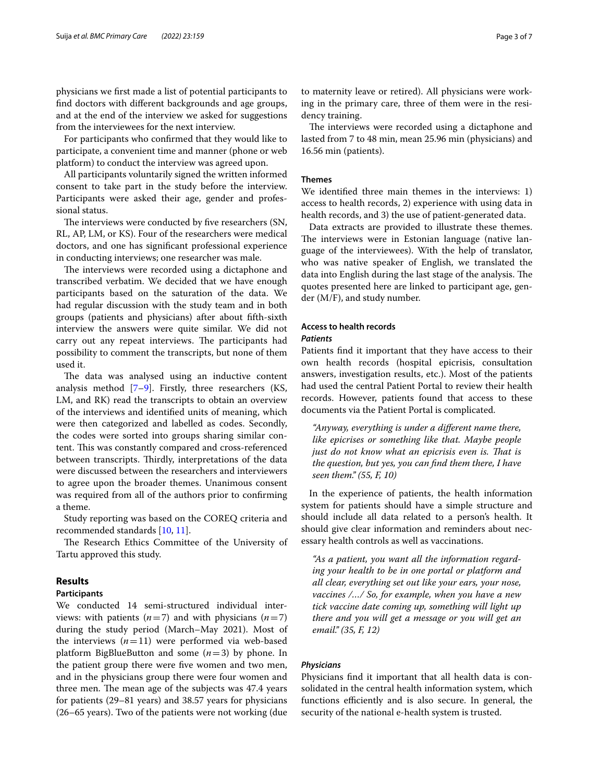physicians we frst made a list of potential participants to fnd doctors with diferent backgrounds and age groups, and at the end of the interview we asked for suggestions from the interviewees for the next interview.

For participants who confrmed that they would like to participate, a convenient time and manner (phone or web platform) to conduct the interview was agreed upon.

All participants voluntarily signed the written informed consent to take part in the study before the interview. Participants were asked their age, gender and professional status.

The interviews were conducted by five researchers (SN, RL, AP, LM, or KS). Four of the researchers were medical doctors, and one has signifcant professional experience in conducting interviews; one researcher was male.

The interviews were recorded using a dictaphone and transcribed verbatim. We decided that we have enough participants based on the saturation of the data. We had regular discussion with the study team and in both groups (patients and physicians) after about ffth-sixth interview the answers were quite similar. We did not carry out any repeat interviews. The participants had possibility to comment the transcripts, but none of them used it.

The data was analysed using an inductive content analysis method [[7–](#page-6-6)[9](#page-6-7)]. Firstly, three researchers (KS, LM, and RK) read the transcripts to obtain an overview of the interviews and identifed units of meaning, which were then categorized and labelled as codes. Secondly, the codes were sorted into groups sharing similar content. This was constantly compared and cross-referenced between transcripts. Thirdly, interpretations of the data were discussed between the researchers and interviewers to agree upon the broader themes. Unanimous consent was required from all of the authors prior to confrming a theme.

Study reporting was based on the COREQ criteria and recommended standards [\[10](#page-6-8), [11\]](#page-6-9).

The Research Ethics Committee of the University of Tartu approved this study.

## **Results**

#### **Participants**

We conducted 14 semi-structured individual interviews: with patients  $(n=7)$  and with physicians  $(n=7)$ during the study period (March–May 2021). Most of the interviews  $(n=11)$  were performed via web-based platform BigBlueButton and some (*n*=3) by phone. In the patient group there were fve women and two men, and in the physicians group there were four women and three men. The mean age of the subjects was 47.4 years for patients (29–81 years) and 38.57 years for physicians (26–65 years). Two of the patients were not working (due to maternity leave or retired). All physicians were working in the primary care, three of them were in the residency training.

The interviews were recorded using a dictaphone and lasted from 7 to 48 min, mean 25.96 min (physicians) and 16.56 min (patients).

## **Themes**

We identifed three main themes in the interviews: 1) access to health records, 2) experience with using data in health records, and 3) the use of patient-generated data.

Data extracts are provided to illustrate these themes. The interviews were in Estonian language (native language of the interviewees). With the help of translator, who was native speaker of English, we translated the data into English during the last stage of the analysis. The quotes presented here are linked to participant age, gender (M/F), and study number.

# **Access to health records** *Patients*

Patients fnd it important that they have access to their own health records (hospital epicrisis, consultation answers, investigation results, etc.). Most of the patients had used the central Patient Portal to review their health records. However, patients found that access to these documents via the Patient Portal is complicated.

*"Anyway, everything is under a diferent name there, like epicrises or something like that. Maybe people just do not know what an epicrisis even is. Tat is the question, but yes, you can fnd them there, I have seen them." (55, F, 10)*

In the experience of patients, the health information system for patients should have a simple structure and should include all data related to a person's health. It should give clear information and reminders about necessary health controls as well as vaccinations.

*"As a patient, you want all the information regarding your health to be in one portal or platform and all clear, everything set out like your ears, your nose, vaccines /…/ So, for example, when you have a new tick vaccine date coming up, something will light up there and you will get a message or you will get an email." (35, F, 12)*

## *Physicians*

Physicians fnd it important that all health data is consolidated in the central health information system, which functions efficiently and is also secure. In general, the security of the national e-health system is trusted.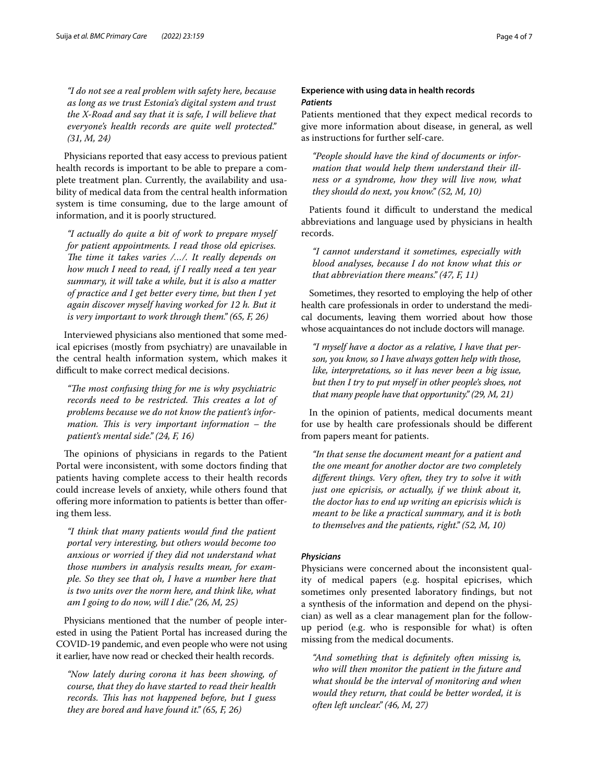*"I do not see a real problem with safety here, because as long as we trust Estonia's digital system and trust the X-Road and say that it is safe, I will believe that everyone's health records are quite well protected." (31, M, 24)*

Physicians reported that easy access to previous patient health records is important to be able to prepare a complete treatment plan. Currently, the availability and usability of medical data from the central health information system is time consuming, due to the large amount of information, and it is poorly structured.

*"I actually do quite a bit of work to prepare myself for patient appointments. I read those old epicrises.*  The time it takes varies /.../. It really depends on *how much I need to read, if I really need a ten year summary, it will take a while, but it is also a matter of practice and I get better every time, but then I yet again discover myself having worked for 12 h. But it is very important to work through them." (65, F, 26)*

Interviewed physicians also mentioned that some medical epicrises (mostly from psychiatry) are unavailable in the central health information system, which makes it difficult to make correct medical decisions.

*"The most confusing thing for me is why psychiatric* records need to be restricted. This creates a lot of *problems because we do not know the patient's information. This is very important information – the patient's mental side." (24, F, 16)*

The opinions of physicians in regards to the Patient Portal were inconsistent, with some doctors fnding that patients having complete access to their health records could increase levels of anxiety, while others found that ofering more information to patients is better than ofering them less.

*"I think that many patients would fnd the patient portal very interesting, but others would become too anxious or worried if they did not understand what those numbers in analysis results mean, for example. So they see that oh, I have a number here that is two units over the norm here, and think like, what am I going to do now, will I die." (26, M, 25)*

Physicians mentioned that the number of people interested in using the Patient Portal has increased during the COVID-19 pandemic, and even people who were not using it earlier, have now read or checked their health records.

*"Now lately during corona it has been showing, of course, that they do have started to read their health records. Tis has not happened before, but I guess they are bored and have found it." (65, F, 26)*

# **Experience with using data in health records** *Patients*

Patients mentioned that they expect medical records to give more information about disease, in general, as well as instructions for further self-care.

*"People should have the kind of documents or information that would help them understand their illness or a syndrome, how they will live now, what they should do next, you know." (52, M, 10)*

Patients found it difficult to understand the medical abbreviations and language used by physicians in health records.

*"I cannot understand it sometimes, especially with blood analyses, because I do not know what this or that abbreviation there means." (47, F, 11)*

Sometimes, they resorted to employing the help of other health care professionals in order to understand the medical documents, leaving them worried about how those whose acquaintances do not include doctors will manage.

*"I myself have a doctor as a relative, I have that person, you know, so I have always gotten help with those, like, interpretations, so it has never been a big issue, but then I try to put myself in other people's shoes, not that many people have that opportunity." (29, M, 21)*

In the opinion of patients, medical documents meant for use by health care professionals should be diferent from papers meant for patients.

*"In that sense the document meant for a patient and the one meant for another doctor are two completely diferent things. Very often, they try to solve it with just one epicrisis, or actually, if we think about it, the doctor has to end up writing an epicrisis which is meant to be like a practical summary, and it is both to themselves and the patients, right." (52, M, 10)*

# *Physicians*

Physicians were concerned about the inconsistent quality of medical papers (e.g. hospital epicrises, which sometimes only presented laboratory fndings, but not a synthesis of the information and depend on the physician) as well as a clear management plan for the followup period (e.g. who is responsible for what) is often missing from the medical documents.

*"And something that is defnitely often missing is, who will then monitor the patient in the future and what should be the interval of monitoring and when would they return, that could be better worded, it is often left unclear." (46, M, 27)*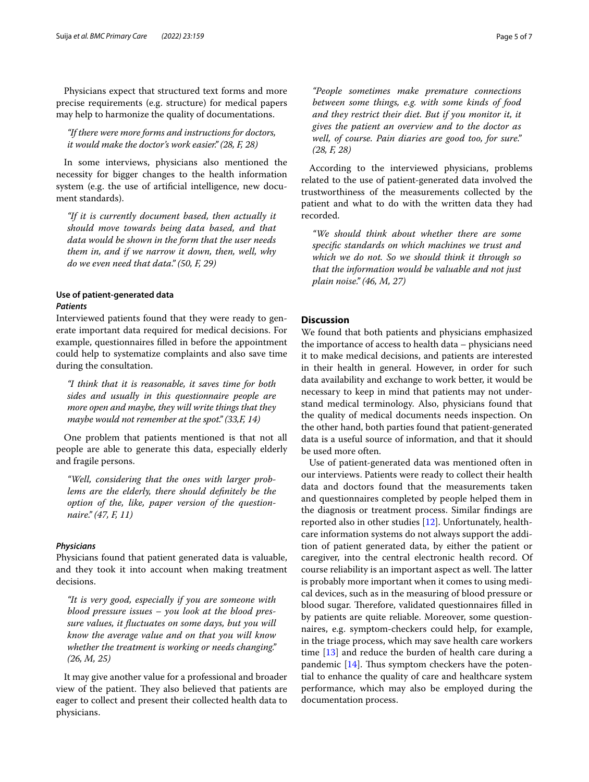Physicians expect that structured text forms and more precise requirements (e.g. structure) for medical papers may help to harmonize the quality of documentations.

*"If there were more forms and instructions for doctors, it would make the doctor's work easier." (28, F, 28)*

In some interviews, physicians also mentioned the necessity for bigger changes to the health information system (e.g. the use of artifcial intelligence, new document standards).

*"If it is currently document based, then actually it should move towards being data based, and that data would be shown in the form that the user needs them in, and if we narrow it down, then, well, why do we even need that data." (50, F, 29)*

# **Use of patient‑generated data** *Patients*

Interviewed patients found that they were ready to generate important data required for medical decisions. For example, questionnaires flled in before the appointment could help to systematize complaints and also save time during the consultation.

*"I think that it is reasonable, it saves time for both sides and usually in this questionnaire people are more open and maybe, they will write things that they maybe would not remember at the spot." (33,F, 14)*

One problem that patients mentioned is that not all people are able to generate this data, especially elderly and fragile persons.

*"Well, considering that the ones with larger problems are the elderly, there should defnitely be the option of the, like, paper version of the questionnaire." (47, F, 11)*

#### *Physicians*

Physicians found that patient generated data is valuable, and they took it into account when making treatment decisions.

*"It is very good, especially if you are someone with blood pressure issues – you look at the blood pressure values, it fuctuates on some days, but you will know the average value and on that you will know whether the treatment is working or needs changing." (26, M, 25)*

It may give another value for a professional and broader view of the patient. They also believed that patients are eager to collect and present their collected health data to physicians.

*"People sometimes make premature connections between some things, e.g. with some kinds of food and they restrict their diet. But if you monitor it, it gives the patient an overview and to the doctor as well, of course. Pain diaries are good too, for sure." (28, F, 28)*

According to the interviewed physicians, problems related to the use of patient-generated data involved the trustworthiness of the measurements collected by the patient and what to do with the written data they had recorded.

*"We should think about whether there are some specifc standards on which machines we trust and which we do not. So we should think it through so that the information would be valuable and not just plain noise." (46, M, 27)*

# **Discussion**

We found that both patients and physicians emphasized the importance of access to health data – physicians need it to make medical decisions, and patients are interested in their health in general. However, in order for such data availability and exchange to work better, it would be necessary to keep in mind that patients may not understand medical terminology. Also, physicians found that the quality of medical documents needs inspection. On the other hand, both parties found that patient-generated data is a useful source of information, and that it should be used more often.

Use of patient-generated data was mentioned often in our interviews. Patients were ready to collect their health data and doctors found that the measurements taken and questionnaires completed by people helped them in the diagnosis or treatment process. Similar fndings are reported also in other studies [\[12](#page-6-10)]. Unfortunately, healthcare information systems do not always support the addition of patient generated data, by either the patient or caregiver, into the central electronic health record. Of course reliability is an important aspect as well. The latter is probably more important when it comes to using medical devices, such as in the measuring of blood pressure or blood sugar. Therefore, validated questionnaires filled in by patients are quite reliable. Moreover, some questionnaires, e.g. symptom-checkers could help, for example, in the triage process, which may save health care workers time [[13](#page-6-11)] and reduce the burden of health care during a pandemic  $[14]$  $[14]$ . Thus symptom checkers have the potential to enhance the quality of care and healthcare system performance, which may also be employed during the documentation process.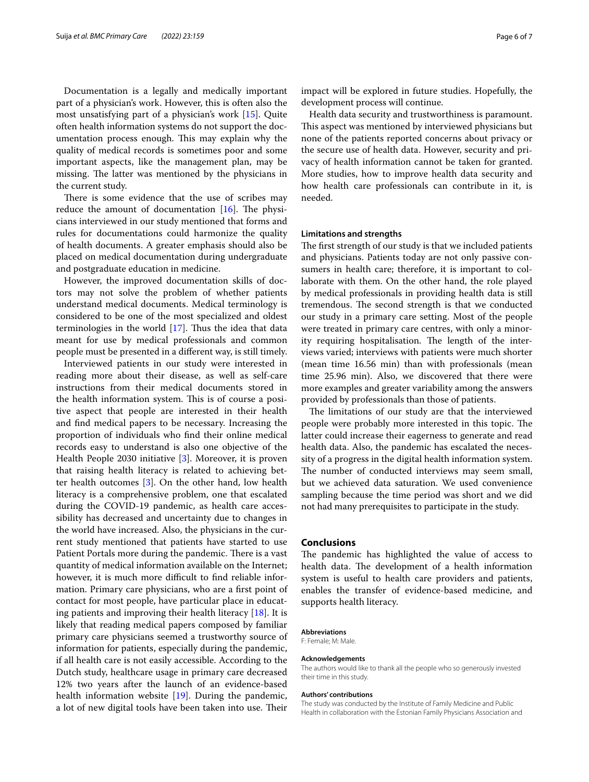Documentation is a legally and medically important part of a physician's work. However, this is often also the most unsatisfying part of a physician's work [\[15](#page-6-13)]. Quite often health information systems do not support the documentation process enough. This may explain why the quality of medical records is sometimes poor and some important aspects, like the management plan, may be missing. The latter was mentioned by the physicians in the current study.

There is some evidence that the use of scribes may reduce the amount of documentation  $[16]$  $[16]$ . The physicians interviewed in our study mentioned that forms and rules for documentations could harmonize the quality of health documents. A greater emphasis should also be placed on medical documentation during undergraduate and postgraduate education in medicine.

However, the improved documentation skills of doctors may not solve the problem of whether patients understand medical documents. Medical terminology is considered to be one of the most specialized and oldest terminologies in the world  $[17]$  $[17]$  $[17]$ . Thus the idea that data meant for use by medical professionals and common people must be presented in a diferent way, is still timely.

Interviewed patients in our study were interested in reading more about their disease, as well as self-care instructions from their medical documents stored in the health information system. This is of course a positive aspect that people are interested in their health and fnd medical papers to be necessary. Increasing the proportion of individuals who fnd their online medical records easy to understand is also one objective of the Health People 2030 initiative [[3\]](#page-6-2). Moreover, it is proven that raising health literacy is related to achieving better health outcomes [\[3](#page-6-2)]. On the other hand, low health literacy is a comprehensive problem, one that escalated during the COVID-19 pandemic, as health care accessibility has decreased and uncertainty due to changes in the world have increased. Also, the physicians in the current study mentioned that patients have started to use Patient Portals more during the pandemic. There is a vast quantity of medical information available on the Internet; however, it is much more difficult to find reliable information. Primary care physicians, who are a frst point of contact for most people, have particular place in educating patients and improving their health literacy [\[18\]](#page-6-16). It is likely that reading medical papers composed by familiar primary care physicians seemed a trustworthy source of information for patients, especially during the pandemic, if all health care is not easily accessible. According to the Dutch study, healthcare usage in primary care decreased 12% two years after the launch of an evidence-based health information website [[19\]](#page-6-17). During the pandemic, a lot of new digital tools have been taken into use. Their impact will be explored in future studies. Hopefully, the development process will continue.

Health data security and trustworthiness is paramount. This aspect was mentioned by interviewed physicians but none of the patients reported concerns about privacy or the secure use of health data. However, security and privacy of health information cannot be taken for granted. More studies, how to improve health data security and how health care professionals can contribute in it, is needed.

#### **Limitations and strengths**

The first strength of our study is that we included patients and physicians. Patients today are not only passive consumers in health care; therefore, it is important to collaborate with them. On the other hand, the role played by medical professionals in providing health data is still tremendous. The second strength is that we conducted our study in a primary care setting. Most of the people were treated in primary care centres, with only a minority requiring hospitalisation. The length of the interviews varied; interviews with patients were much shorter (mean time 16.56 min) than with professionals (mean time 25.96 min). Also, we discovered that there were more examples and greater variability among the answers provided by professionals than those of patients.

The limitations of our study are that the interviewed people were probably more interested in this topic. The latter could increase their eagerness to generate and read health data. Also, the pandemic has escalated the necessity of a progress in the digital health information system. The number of conducted interviews may seem small, but we achieved data saturation. We used convenience sampling because the time period was short and we did not had many prerequisites to participate in the study.

## **Conclusions**

The pandemic has highlighted the value of access to health data. The development of a health information system is useful to health care providers and patients, enables the transfer of evidence-based medicine, and supports health literacy.

#### **Abbreviations**

F: Female; M: Male.

#### **Acknowledgements**

The authors would like to thank all the people who so generously invested their time in this study.

#### **Authors' contributions**

The study was conducted by the Institute of Family Medicine and Public Health in collaboration with the Estonian Family Physicians Association and